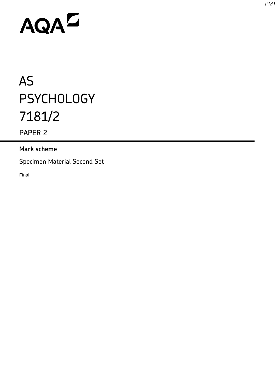# AQAD

# AS **PSYCHOLOGY** 7181/2

PAPER 2

# **Mark scheme**

Specimen Material Second Set

Final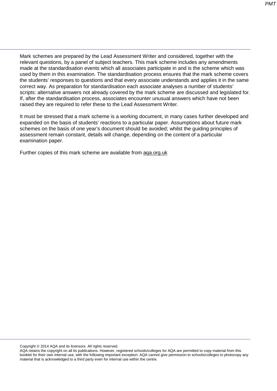Mark schemes are prepared by the Lead Assessment Writer and considered, together with the relevant questions, by a panel of subject teachers. This mark scheme includes any amendments made at the standardisation events which all associates participate in and is the scheme which was used by them in this examination. The standardisation process ensures that the mark scheme covers the students' responses to questions and that every associate understands and applies it in the same correct way. As preparation for standardisation each associate analyses a number of students' scripts: alternative answers not already covered by the mark scheme are discussed and legislated for. If, after the standardisation process, associates encounter unusual answers which have not been raised they are required to refer these to the Lead Assessment Writer.

It must be stressed that a mark scheme is a working document, in many cases further developed and expanded on the basis of students' reactions to a particular paper. Assumptions about future mark schemes on the basis of one year's document should be avoided; whilst the guiding principles of assessment remain constant, details will change, depending on the content of a particular examination paper.

Further copies of this mark scheme are available from [aqa.org.uk](http://www.aqa.org.uk/)

Copyright © 2014 AQA and its licensors. All rights reserved.

AQA retains the copyright on all its publications. However, registered schools/colleges for AQA are permitted to copy material from this booklet for their own internal use, with the following important exception: AQA cannot give permission to schools/colleges to photocopy any material that is acknowledged to a third party even for internal use within the centre.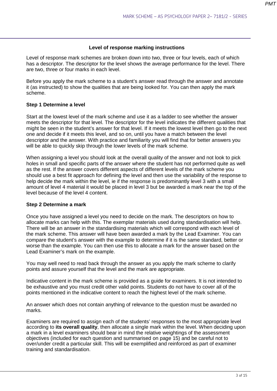#### **Level of response marking instructions**

Level of response mark schemes are broken down into two, three or four levels, each of which has a descriptor. The descriptor for the level shows the average performance for the level. There are two, three or four marks in each level.

Before you apply the mark scheme to a student's answer read through the answer and annotate it (as instructed) to show the qualities that are being looked for. You can then apply the mark scheme.

#### **Step 1 Determine a level**

Start at the lowest level of the mark scheme and use it as a ladder to see whether the answer meets the descriptor for that level. The descriptor for the level indicates the different qualities that might be seen in the student's answer for that level. If it meets the lowest level then go to the next one and decide if it meets this level, and so on, until you have a match between the level descriptor and the answer. With practice and familiarity you will find that for better answers you will be able to quickly skip through the lower levels of the mark scheme.

When assigning a level you should look at the overall quality of the answer and not look to pick holes in small and specific parts of the answer where the student has not performed quite as well as the rest. If the answer covers different aspects of different levels of the mark scheme you should use a best fit approach for defining the level and then use the variability of the response to help decide the mark within the level, ie if the response is predominantly level 3 with a small amount of level 4 material it would be placed in level 3 but be awarded a mark near the top of the level because of the level 4 content.

#### **Step 2 Determine a mark**

Once you have assigned a level you need to decide on the mark. The descriptors on how to allocate marks can help with this. The exemplar materials used during standardisation will help. There will be an answer in the standardising materials which will correspond with each level of the mark scheme. This answer will have been awarded a mark by the Lead Examiner. You can compare the student's answer with the example to determine if it is the same standard, better or worse than the example. You can then use this to allocate a mark for the answer based on the Lead Examiner's mark on the example.

You may well need to read back through the answer as you apply the mark scheme to clarify points and assure yourself that the level and the mark are appropriate.

Indicative content in the mark scheme is provided as a guide for examiners. It is not intended to be exhaustive and you must credit other valid points. Students do not have to cover all of the points mentioned in the indicative content to reach the highest level of the mark scheme.

An answer which does not contain anything of relevance to the question must be awarded no marks.

Examiners are required to assign each of the students' responses to the most appropriate level according to **its overall quality**, then allocate a single mark within the level. When deciding upon a mark in a level examiners should bear in mind the relative weightings of the assessment objectives (included for each question and summarised on page 15) and be careful not to over/under credit a particular skill. This will be exemplified and reinforced as part of examiner training and standardisation.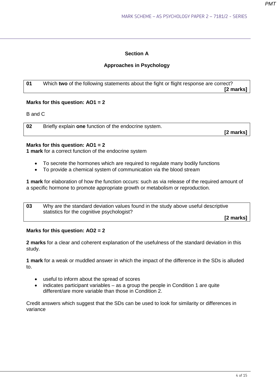# **Section A**

# **Approaches in Psychology**

**01** Which **two** of the following statements about the fight or flight response are correct? **[2 marks]**

#### **Marks for this question: AO1 = 2**

B and C

**02** Briefly explain **one** function of the endocrine system. **[2 marks]**

# **Marks for this question: AO1 = 2**

**1 mark** for a correct function of the endocrine system

- To secrete the hormones which are required to regulate many bodily functions
- To provide a chemical system of communication via the blood stream

**1 mark** for elaboration of how the function occurs: such as via release of the required amount of a specific hormone to promote appropriate growth or metabolism or reproduction.

**03** Why are the standard deviation values found in the study above useful descriptive statistics for the cognitive psychologist?  **[2 marks]**

**Marks for this question: AO2 = 2** 

**2 marks** for a clear and coherent explanation of the usefulness of the standard deviation in this study.

**1 mark** for a weak or muddled answer in which the impact of the difference in the SDs is alluded to.

- useful to inform about the spread of scores
- indicates participant variables as a group the people in Condition 1 are quite different/are more variable than those in Condition 2.

Credit answers which suggest that the SDs can be used to look for similarity or differences in variance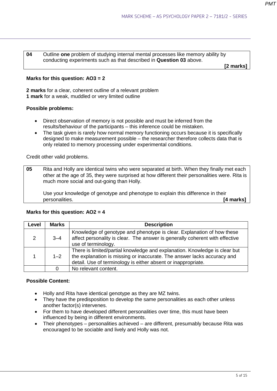**04** Outline **one** problem of studying internal mental processes like memory ability by conducting experiments such as that described in **Question 03** above.

**[2 marks]**

#### **Marks for this question: AO3 = 2**

**2 marks** for a clear, coherent outline of a relevant problem **1 mark** for a weak, muddled or very limited outline

#### **Possible problems:**

- Direct observation of memory is not possible and must be inferred from the results/behaviour of the participants – this inference could be mistaken.
- The task given is rarely how normal memory functioning occurs because it is specifically designed to make measurement possible – the researcher therefore collects data that is only related to memory processing under experimental conditions.

Credit other valid problems.

**05** Rita and Holly are identical twins who were separated at birth. When they finally met each other at the age of 35, they were surprised at how different their personalities were. Rita is much more social and out-going than Holly.

 Use your knowledge of genotype and phenotype to explain this difference in their personalities. **[4 marks]**

#### **Marks for this question: AO2 = 4**

| Level         | <b>Marks</b> | <b>Description</b>                                                                                                                                                                                                     |  |  |
|---------------|--------------|------------------------------------------------------------------------------------------------------------------------------------------------------------------------------------------------------------------------|--|--|
| $\mathcal{P}$ | $3 - 4$      | Knowledge of genotype and phenotype is clear. Explanation of how these<br>affect personality is clear. The answer is generally coherent with effective<br>use of terminology.                                          |  |  |
|               | $1 - 2$      | There is limited/partial knowledge and explanation. Knowledge is clear but<br>the explanation is missing or inaccurate. The answer lacks accuracy and<br>detail. Use of terminology is either absent or inappropriate. |  |  |
|               |              | No relevant content.                                                                                                                                                                                                   |  |  |

#### **Possible Content:**

- Holly and Rita have identical genotype as they are MZ twins.
- They have the predisposition to develop the same personalities as each other unless another factor(s) intervenes.
- For them to have developed different personalities over time, this must have been influenced by being in different environments.
- Their phenotypes personalities achieved are different, presumably because Rita was encouraged to be sociable and lively and Holly was not.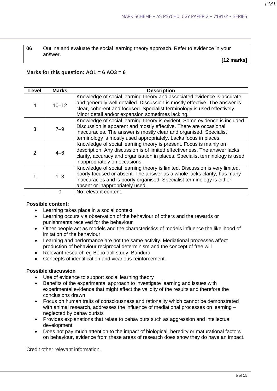**06** Outline and evaluate the social learning theory approach. Refer to evidence in your answer.

**[12 marks]**

#### **Marks for this question: AO1 = 6 AO3 = 6**

| Level | <b>Marks</b>                                                                                                                                                                                                                                                                                         | <b>Description</b>                                                                                                                                                                                                                                                                    |  |  |  |
|-------|------------------------------------------------------------------------------------------------------------------------------------------------------------------------------------------------------------------------------------------------------------------------------------------------------|---------------------------------------------------------------------------------------------------------------------------------------------------------------------------------------------------------------------------------------------------------------------------------------|--|--|--|
| 4     | $10 - 12$                                                                                                                                                                                                                                                                                            | Knowledge of social learning theory and associated evidence is accurate<br>and generally well detailed. Discussion is mostly effective. The answer is<br>clear, coherent and focused. Specialist terminology is used effectively.<br>Minor detail and/or expansion sometimes lacking. |  |  |  |
| 3     | Knowledge of social learning theory is evident. Some evidence is included.<br>Discussion is apparent and mostly effective. There are occasional<br>$7 - 9$<br>inaccuracies. The answer is mostly clear and organised. Specialist<br>terminology is mostly used appropriately. Lacks focus in places. |                                                                                                                                                                                                                                                                                       |  |  |  |
| 2     | $4 - 6$                                                                                                                                                                                                                                                                                              | Knowledge of social learning theory is present. Focus is mainly on<br>description. Any discussion is of limited effectiveness. The answer lacks<br>clarity, accuracy and organisation in places. Specialist terminology is used<br>inappropriately on occasions.                      |  |  |  |
|       | Knowledge of social learning theory is limited. Discussion is very limited,<br>poorly focused or absent. The answer as a whole lacks clarity, has many<br>$1 - 3$<br>inaccuracies and is poorly organised. Specialist terminology is either<br>absent or inappropriately used.                       |                                                                                                                                                                                                                                                                                       |  |  |  |
|       | O                                                                                                                                                                                                                                                                                                    | No relevant content.                                                                                                                                                                                                                                                                  |  |  |  |

#### **Possible content:**

- Learning takes place in a social context
- Learning occurs via observation of the behaviour of others and the rewards or punishments received for the behaviour
- Other people act as models and the characteristics of models influence the likelihood of imitation of the behaviour
- Learning and performance are not the same activity. Mediational processes affect production of behaviour reciprocal determinism and the concept of free will
- Relevant research eg Bobo doll study, Bandura
- Concepts of identification and vicarious reinforcement.

#### **Possible discussion**

- Use of evidence to support social learning theory
- Benefits of the experimental approach to investigate learning and issues with experimental evidence that might affect the validity of the results and therefore the conclusions drawn
- Focus on human traits of consciousness and rationality which cannot be demonstrated with animal research, addresses the influence of mediational processes on learning – neglected by behaviourists
- Provides explanations that relate to behaviours such as aggression and intellectual development
- Does not pay much attention to the impact of biological, heredity or maturational factors on behaviour, evidence from these areas of research does show they do have an impact.

Credit other relevant information.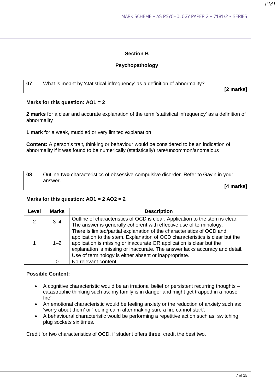# **Section B**

# **Psychopathology**

| 07 | What is meant by 'statistical infrequency' as a definition of abnormality? |           |
|----|----------------------------------------------------------------------------|-----------|
|    |                                                                            | [2 marks] |

# **Marks for this question: AO1 = 2**

**2 marks** for a clear and accurate explanation of the term 'statistical infrequency' as a definition of abnormality

**1 mark** for a weak, muddled or very limited explanation

**Content:** A person's trait, thinking or behaviour would be considered to be an indication of abnormality if it was found to be numerically (statistically) rare/uncommon/anomalous

**08** Outline **two** characteristics of obsessive-compulsive disorder. Refer to Gavin in your answer.

**[4 marks]** 

#### **Marks for this question: AO1 = 2 AO2 = 2**

| Level | <b>Marks</b> | <b>Description</b>                                                                                                                                                                                                                                                                                                                                                     |  |  |
|-------|--------------|------------------------------------------------------------------------------------------------------------------------------------------------------------------------------------------------------------------------------------------------------------------------------------------------------------------------------------------------------------------------|--|--|
| 2     | $3 - 4$      | Outline of characteristics of OCD is clear. Application to the stem is clear.                                                                                                                                                                                                                                                                                          |  |  |
|       |              | The answer is generally coherent with effective use of terminology.                                                                                                                                                                                                                                                                                                    |  |  |
|       | $1 - 2$      | There is limited/partial explanation of the characteristics of OCD and<br>application to the stem. Explanation of OCD characteristics is clear but the<br>application is missing or inaccurate OR application is clear but the<br>explanation is missing or inaccurate. The answer lacks accuracy and detail.<br>Use of terminology is either absent or inappropriate. |  |  |
|       |              | No relevant content.                                                                                                                                                                                                                                                                                                                                                   |  |  |

# **Possible Content:**

- A cognitive characteristic would be an irrational belief or persistent recurring thoughts catastrophic thinking such as: my family is in danger and might get trapped in a house fire'.
- An emotional characteristic would be feeling anxiety or the reduction of anxiety such as: 'worry about them' or 'feeling calm after making sure a fire cannot start'.
- A behavioural characteristic would be performing a repetitive action such as: switching plug sockets six times.

Credit for two characteristics of OCD, if student offers three, credit the best two.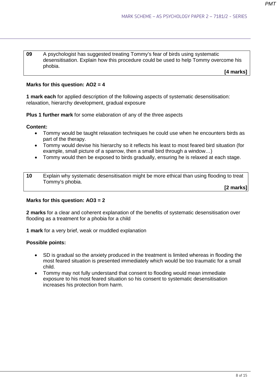**09** A psychologist has suggested treating Tommy's fear of birds using systematic desensitisation. Explain how this procedure could be used to help Tommy overcome his phobia.

**[4 marks]**

#### **Marks for this question: AO2 = 4**

**1 mark each** for applied description of the following aspects of systematic desensitisation: relaxation, hierarchy development, gradual exposure

**Plus 1 further mark** for some elaboration of any of the three aspects

#### **Content:**

- Tommy would be taught relaxation techniques he could use when he encounters birds as part of the therapy.
- Tommy would devise his hierarchy so it reflects his least to most feared bird situation (for example, small picture of a sparrow, then a small bird through a window…)
- Tommy would then be exposed to birds gradually, ensuring he is relaxed at each stage.

| 10 | Explain why systematic desensitisation might be more ethical than using flooding to treat |  |
|----|-------------------------------------------------------------------------------------------|--|
|    | Tommy's phobia.                                                                           |  |

**[2 marks]**

#### **Marks for this question: AO3 = 2**

**2 marks** for a clear and coherent explanation of the benefits of systematic desensitisation over flooding as a treatment for a phobia for a child

**1 mark** for a very brief, weak or muddled explanation

#### **Possible points:**

- SD is gradual so the anxiety produced in the treatment is limited whereas in flooding the most feared situation is presented immediately which would be too traumatic for a small child.
- Tommy may not fully understand that consent to flooding would mean immediate exposure to his most feared situation so his consent to systematic desensitisation increases his protection from harm.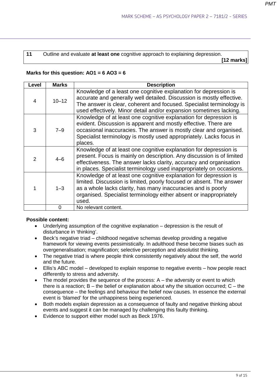**11** Outline and evaluate **at least one** cognitive approach to explaining depression. **[12 marks]**

# **Marks for this question: AO1 = 6 AO3 = 6**

| Level         | <b>Marks</b> | <b>Description</b>                                                                                                                                                                                                                                                                           |  |  |  |
|---------------|--------------|----------------------------------------------------------------------------------------------------------------------------------------------------------------------------------------------------------------------------------------------------------------------------------------------|--|--|--|
| 4             | $10 - 12$    | Knowledge of a least one cognitive explanation for depression is<br>accurate and generally well detailed. Discussion is mostly effective.<br>The answer is clear, coherent and focused. Specialist terminology is<br>used effectively. Minor detail and/or expansion sometimes lacking.      |  |  |  |
| 3             | $7 - 9$      | Knowledge of at least one cognitive explanation for depression is<br>evident. Discussion is apparent and mostly effective. There are<br>occasional inaccuracies. The answer is mostly clear and organised.<br>Specialist terminology is mostly used appropriately. Lacks focus in<br>places. |  |  |  |
| $\mathcal{P}$ | $4 - 6$      | Knowledge of at least one cognitive explanation for depression is<br>present. Focus is mainly on description. Any discussion is of limited<br>effectiveness. The answer lacks clarity, accuracy and organisation<br>in places. Specialist terminology used inappropriately on occasions.     |  |  |  |
|               | $1 - 3$      | Knowledge of at least one cognitive explanation for depression is<br>limited. Discussion is limited, poorly focused or absent. The answer<br>as a whole lacks clarity, has many inaccuracies and is poorly<br>organised. Specialist terminology either absent or inappropriately<br>used.    |  |  |  |
|               | 0            | No relevant content.                                                                                                                                                                                                                                                                         |  |  |  |

# **Possible content:**

- Underlying assumption of the cognitive explanation depression is the result of disturbance in 'thinking'.
- Beck's negative triad childhood negative schemas develop providing a negative framework for viewing events pessimistically. In adulthood these become biases such as overgeneralisation; magnification; selective perception and absolutist thinking.
- The negative triad is where people think consistently negatively about the self, the world and the future.
- Ellis's ABC model developed to explain response to negative events how people react differently to stress and adversity.
- The model provides the sequence of the process:  $A th$ e adversity or event to which there is a reaction;  $B$  – the belief or explanation about why the situation occurred;  $C$  – the consequence – the feelings and behaviour the belief now causes. In essence the external event is 'blamed' for the unhappiness being experienced.
- Both models explain depression as a consequence of faulty and negative thinking about events and suggest it can be managed by challenging this faulty thinking.
- Evidence to support either model such as Beck 1976.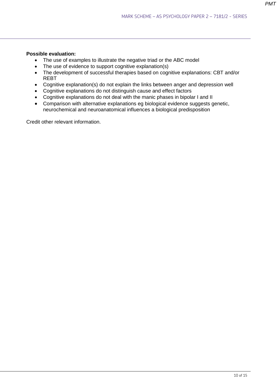#### **Possible evaluation:**

- The use of examples to illustrate the negative triad or the ABC model
- The use of evidence to support cognitive explanation(s)
- The development of successful therapies based on cognitive explanations: CBT and/or REBT
- Cognitive explanation(s) do not explain the links between anger and depression well
- Cognitive explanations do not distinguish cause and effect factors
- Cognitive explanations do not deal with the manic phases in bipolar I and II
- Comparison with alternative explanations eg biological evidence suggests genetic, neurochemical and neuroanatomical influences a biological predisposition

Credit other relevant information.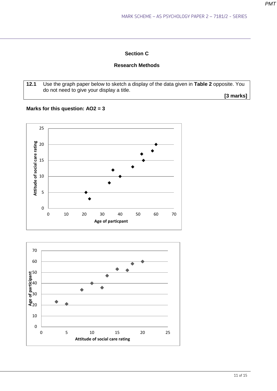# **Section C**

# **Research Methods**

**12.1** Use the graph paper below to sketch a display of the data given in **Table 2** opposite. You do not need to give your display a title.

**[3 marks]**

# **Marks for this question: AO2 = 3**



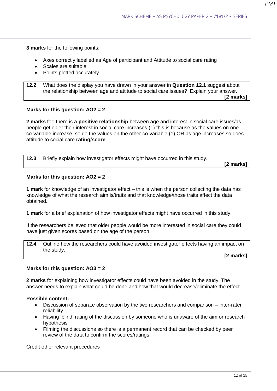**3 marks** for the following points:

- Axes correctly labelled as Age of participant and Attitude to social care rating
- Scales are suitable
- Points plotted accurately.

**12.2** What does the display you have drawn in your answer in **Question 12.1** suggest about the relationship between age and attitude to social care issues? Explain your answer. **[2 marks]**

#### **Marks for this question: AO2 = 2**

**2 marks** for: there is a **positive relationship** between age and interest in social care issues/as people get older their interest in social care increases (1) this is because as the values on one co-variable increase, so do the values on the other co-variable (1) OR as age increases so does attitude to social care **rating/score**.

| 12.3 | Briefly explain how investigator effects might have occurred in this study. |               |
|------|-----------------------------------------------------------------------------|---------------|
|      |                                                                             | [2 marks] $ $ |

#### **Marks for this question: AO2 = 2**

**1 mark** for knowledge of an investigator effect – this is when the person collecting the data has knowledge of what the research aim is/traits and that knowledge/those traits affect the data obtained.

**1 mark** for a brief explanation of how investigator effects might have occurred in this study.

If the researchers believed that older people would be more interested in social care they could have just given scores based on the age of the person.

**12.4** Outline how the researchers could have avoided investigator effects having an impact on the study.

**[2 marks]**

# **Marks for this question: AO3 = 2**

**2 marks** for explaining how investigator effects could have been avoided in the study. The answer needs to explain what could be done and how that would decrease/eliminate the effect.

#### **Possible content:**

- Discussion of separate observation by the two researchers and comparison inter-rater reliability
- Having 'blind' rating of the discussion by someone who is unaware of the aim or research hypothesis
- Filming the discussions so there is a permanent record that can be checked by peer review of the data to confirm the scores/ratings.

Credit other relevant procedures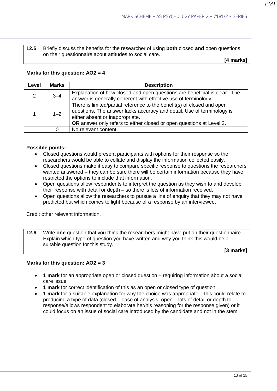**12.5** Briefly discuss the benefits for the researcher of using **both** closed **and** open questions on their questionnaire about attitudes to social care.

**[4 marks]**

#### **Marks for this question: AO2 = 4**

| Level                                      | <b>Marks</b> | <b>Description</b>                                                                                                                                                                                                        |  |  |
|--------------------------------------------|--------------|---------------------------------------------------------------------------------------------------------------------------------------------------------------------------------------------------------------------------|--|--|
| 2                                          | $3 - 4$      | Explanation of how closed and open questions are beneficial is clear. The<br>answer is generally coherent with effective use of terminology.                                                                              |  |  |
| $1 - 2$<br>either absent or inappropriate. |              | There is limited/partial reference to the benefit(s) of closed and open<br>questions. The answer lacks accuracy and detail. Use of terminology is<br>OR answer only refers to either closed or open questions at Level 2. |  |  |
|                                            |              | No relevant content.                                                                                                                                                                                                      |  |  |

#### **Possible points:**

- Closed questions would present participants with options for their response so the researchers would be able to collate and display the information collected easily.
- Closed questions make it easy to compare specific response to questions the researchers wanted answered – they can be sure there will be certain information because they have restricted the options to include that information.
- Open questions allow respondents to interpret the question as they wish to and develop their response with detail or depth – so there is lots of information received.
- Open questions allow the researchers to pursue a line of enquiry that they may not have predicted but which comes to light because of a response by an interviewee.

Credit other relevant information.

**12.6** Write **one** question that you think the researchers might have put on their questionnaire. Explain which type of question you have written and why you think this would be a suitable question for this study.

**[3 marks]**

#### **Marks for this question: AO2 = 3**

- **1 mark** for an appropriate open or closed question requiring information about a social care issue
- **1 mark** for correct identification of this as an open or closed type of question
- **1 mark** for a suitable explanation for why the choice was appropriate this could relate to producing a type of data (closed – ease of analysis, open – lots of detail or depth to response/allows respondent to elaborate her/his reasoning for the response given) or it could focus on an issue of social care introduced by the candidate and not in the stem.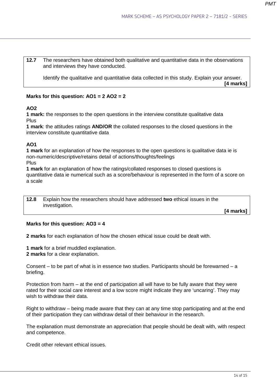**12.7** The researchers have obtained both qualitative and quantitative data in the observations and interviews they have conducted.

Identify the qualitative and quantitative data collected in this study. Explain your answer.

**[4 marks]**

#### **Marks for this question: AO1 = 2 AO2 = 2**

#### **AO2**

**1 mark:** the responses to the open questions in the interview constitute qualitative data Plus

**1 mark**: the attitudes ratings **AND/OR** the collated responses to the closed questions in the interview constitute quantitative data

# **AO1**

**1 mark** for an explanation of how the responses to the open questions is qualitative data ie is non-numeric/descriptive/retains detail of actions/thoughts/feelings Plus

**1 mark** for an explanation of how the ratings/collated responses to closed questions is quantitative data ie numerical such as a score/behaviour is represented in the form of a score on a scale

**12.8** Explain how the researchers should have addressed **two** ethical issues in the investigation.

**[4 marks]**

#### **Marks for this question: AO3 = 4**

**2 marks** for each explanation of how the chosen ethical issue could be dealt with.

**1 mark** for a brief muddled explanation. **2 marks** for a clear explanation.

Consent – to be part of what is in essence two studies. Participants should be forewarned – a briefing.

Protection from harm – at the end of participation all will have to be fully aware that they were rated for their social care interest and a low score might indicate they are 'uncaring'. They may wish to withdraw their data.

Right to withdraw – being made aware that they can at any time stop participating and at the end of their participation they can withdraw detail of their behaviour in the research.

The explanation must demonstrate an appreciation that people should be dealt with, with respect and competence.

Credit other relevant ethical issues.